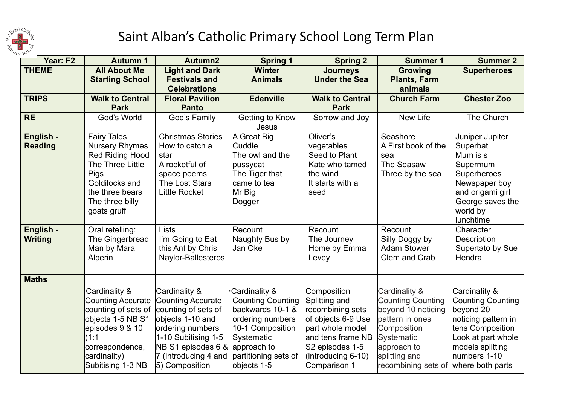

## Saint Alban's Catholic Primary School Long Term Plan

| Year: F2                    | <b>Autumn 1</b>                                                                                                                                                           | Autumn2                                                                                                                                                                                  | <b>Spring 1</b>                                                                                                                                                           | <b>Spring 2</b>                                                                                                                                                          | <b>Summer 1</b>                                                                                                                                                        | <b>Summer 2</b>                                                                                                                                                          |
|-----------------------------|---------------------------------------------------------------------------------------------------------------------------------------------------------------------------|------------------------------------------------------------------------------------------------------------------------------------------------------------------------------------------|---------------------------------------------------------------------------------------------------------------------------------------------------------------------------|--------------------------------------------------------------------------------------------------------------------------------------------------------------------------|------------------------------------------------------------------------------------------------------------------------------------------------------------------------|--------------------------------------------------------------------------------------------------------------------------------------------------------------------------|
| <b>THEME</b>                | <b>All About Me</b><br><b>Starting School</b>                                                                                                                             | <b>Light and Dark</b><br><b>Festivals and</b>                                                                                                                                            | <b>Winter</b><br><b>Animals</b>                                                                                                                                           | <b>Journeys</b><br><b>Under the Sea</b>                                                                                                                                  | <b>Growing</b><br><b>Plants, Farm</b>                                                                                                                                  | <b>Superheroes</b>                                                                                                                                                       |
|                             |                                                                                                                                                                           | <b>Celebrations</b>                                                                                                                                                                      |                                                                                                                                                                           |                                                                                                                                                                          | animals                                                                                                                                                                |                                                                                                                                                                          |
| <b>TRIPS</b>                | <b>Walk to Central</b><br><b>Park</b>                                                                                                                                     | <b>Floral Pavilion</b><br><b>Panto</b>                                                                                                                                                   | <b>Edenville</b>                                                                                                                                                          | <b>Walk to Central</b><br><b>Park</b>                                                                                                                                    | <b>Church Farm</b>                                                                                                                                                     | <b>Chester Zoo</b>                                                                                                                                                       |
| <b>RE</b>                   | God's World                                                                                                                                                               | God's Family                                                                                                                                                                             | Getting to Know<br>Jesus                                                                                                                                                  | Sorrow and Joy                                                                                                                                                           | New Life                                                                                                                                                               | The Church                                                                                                                                                               |
| English -<br><b>Reading</b> | <b>Fairy Tales</b><br><b>Nursery Rhymes</b><br>Red Riding Hood<br>The Three Little<br>Pigs<br>Goldilocks and<br>the three bears<br>The three billy<br>goats gruff         | <b>Christmas Stories</b><br>How to catch a<br>star<br>A rocketful of<br>space poems<br>The Lost Stars<br><b>Little Rocket</b>                                                            | A Great Big<br>Cuddle<br>The owl and the<br>pussycat<br>The Tiger that<br>came to tea<br>Mr Big<br>Dogger                                                                 | Oliver's<br>vegetables<br>Seed to Plant<br>Kate who tamed<br>the wind<br>It starts with a<br>seed                                                                        | Seashore<br>A First book of the<br>sea<br>The Seasaw<br>Three by the sea                                                                                               | Juniper Jupiter<br>Superbat<br>Mum is s<br>Supermum<br>Superheroes<br>Newspaper boy<br>and origami girl<br>George saves the<br>world by<br>lunchtime                     |
| English -<br><b>Writing</b> | Oral retelling:<br>The Gingerbread<br>Man by Mara<br>Alperin                                                                                                              | <b>Lists</b><br>I'm Going to Eat<br>this Ant by Chris<br>Naylor-Ballesteros                                                                                                              | Recount<br>Naughty Bus by<br>Jan Oke                                                                                                                                      | Recount<br>The Journey<br>Home by Emma<br>Levey                                                                                                                          | Recount<br>Silly Doggy by<br><b>Adam Stower</b><br>Clem and Crab                                                                                                       | Character<br>Description<br>Supertato by Sue<br>Hendra                                                                                                                   |
| <b>Maths</b>                | Cardinality &<br><b>Counting Accurate</b><br>counting of sets of<br>objects 1-5 NB S1<br>episodes 9 & 10<br>(1:1)<br>correspondence,<br>cardinality)<br>Subitising 1-3 NB | Cardinality &<br>Counting Accurate<br>counting of sets of<br>objects 1-10 and<br>ordering numbers<br>1-10 Subitising 1-5<br>NB S1 episodes 6 &<br>7 (introducing 4 and<br>5) Composition | Cardinality &<br><b>Counting Counting</b><br>backwards 10-1 &<br>ordering numbers<br>10-1 Composition<br>Systematic<br>approach to<br>partitioning sets of<br>objects 1-5 | Composition<br>Splitting and<br>recombining sets<br>of objects 6-9 Use<br>part whole model<br>and tens frame NB<br>S2 episodes 1-5<br>(introducing 6-10)<br>Comparison 1 | Cardinality &<br><b>Counting Counting</b><br>beyond 10 noticing<br>pattern in ones<br>Composition<br>Systematic<br>approach to<br>splitting and<br>recombining sets of | Cardinality &<br>Counting Counting<br>beyond 20<br>noticing pattern in<br>tens Composition<br>Look at part whole<br>models splitting<br>numbers 1-10<br>where both parts |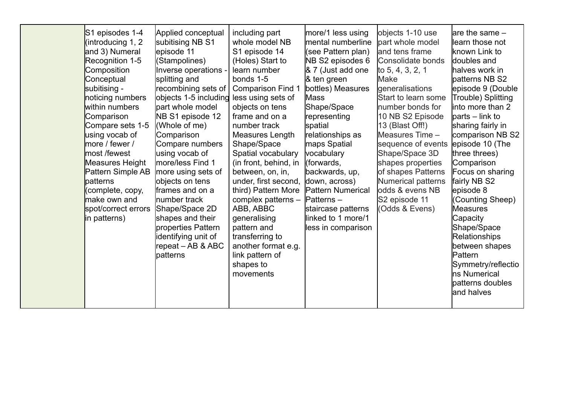|  | S1 episodes 1-4<br>(introducing 1, 2<br>and 3) Numeral<br>Recognition 1-5<br>Composition<br>Conceptual<br>subitising -<br>noticing numbers<br>within numbers<br>Comparison<br>Compare sets 1-5<br>using vocab of<br>more / fewer /<br>most /fewest<br>Measures Height<br>Pattern Simple AB<br>patterns<br>(complete, copy,<br>make own and<br>spot/correct errors<br>in patterns) | Applied conceptual<br>subitising NB S1<br>episode 11<br>(Stampolines)<br>Inverse operations -<br>splitting and<br>recombining sets of  <br>objects 1-5 including less using sets of<br>lpart whole model<br>NB S1 episode 12<br>(Whole of me)<br>Comparison<br>Compare numbers<br>using vocab of<br>more/less Find 1<br>more using sets of<br>objects on tens<br>frames and on a<br>Inumber track<br>Shape/Space 2D<br>shapes and their<br>properties Pattern<br>identifying unit of<br>repeat - AB & ABC<br>patterns | including part<br>whole model NB<br>S1 episode 14<br>(Holes) Start to<br>learn number<br>bonds 1-5<br><b>Comparison Find 1</b><br>objects on tens<br>frame and on a<br>number track<br>Measures Length<br>Shape/Space<br>Spatial vocabulary<br>(in front, behind, in<br>between, on, in,<br>under, first second,<br>third) Pattern More<br>complex patterns -<br>ABB, ABBC<br>generalising<br>pattern and<br>transferring to<br>another format e.g.<br>link pattern of<br>shapes to<br>movements | more/1 less using<br>mental numberline<br>(see Pattern plan)<br>NB S2 episodes 6<br>& 7 (Just add one<br>& ten green<br>bottles) Measures<br><b>Mass</b><br>Shape/Space<br>representing<br>spatial<br>relationships as<br>maps Spatial<br>vocabulary<br>(forwards,<br>backwards, up,<br>down, across)<br><b>Pattern Numerical</b><br>$Patterns -$<br>staircase patterns<br>llinked to 1 more/1<br>less in comparison | objects 1-10 use<br>part whole model<br>and tens frame<br>Consolidate bonds<br>to 5, 4, 3, 2, 1<br><b>Make</b><br>generalisations<br>Start to learn some<br>number bonds for<br>10 NB S2 Episode<br>13 (Blast Off!)<br>Measures Time -<br>sequence of events<br>Shape/Space 3D<br>shapes properties<br>of shapes Patterns<br><b>Numerical patterns</b><br>odds & evens NB<br>S2 episode 11<br>Odds & Evens) | lare the same -<br>learn those not<br>known Link to<br>doubles and<br>halves work in<br>patterns NB S2<br>episode 9 (Double<br>Trouble) Splitting<br>linto more than 2<br>lparts – link to<br>sharing fairly in<br>comparison NB S2<br>episode 10 (The<br>three threes)<br>Comparison<br>Focus on sharing<br>fairly NB S2<br>episode 8<br>(Counting Sheep)<br><b>Measures</b><br>Capacity<br>Shape/Space<br><b>Relationships</b><br>between shapes<br>Pattern<br>Symmetry/reflectio<br>ns Numerical<br>patterns doubles<br>and halves |
|--|-----------------------------------------------------------------------------------------------------------------------------------------------------------------------------------------------------------------------------------------------------------------------------------------------------------------------------------------------------------------------------------|-----------------------------------------------------------------------------------------------------------------------------------------------------------------------------------------------------------------------------------------------------------------------------------------------------------------------------------------------------------------------------------------------------------------------------------------------------------------------------------------------------------------------|--------------------------------------------------------------------------------------------------------------------------------------------------------------------------------------------------------------------------------------------------------------------------------------------------------------------------------------------------------------------------------------------------------------------------------------------------------------------------------------------------|----------------------------------------------------------------------------------------------------------------------------------------------------------------------------------------------------------------------------------------------------------------------------------------------------------------------------------------------------------------------------------------------------------------------|-------------------------------------------------------------------------------------------------------------------------------------------------------------------------------------------------------------------------------------------------------------------------------------------------------------------------------------------------------------------------------------------------------------|---------------------------------------------------------------------------------------------------------------------------------------------------------------------------------------------------------------------------------------------------------------------------------------------------------------------------------------------------------------------------------------------------------------------------------------------------------------------------------------------------------------------------------------|
|--|-----------------------------------------------------------------------------------------------------------------------------------------------------------------------------------------------------------------------------------------------------------------------------------------------------------------------------------------------------------------------------------|-----------------------------------------------------------------------------------------------------------------------------------------------------------------------------------------------------------------------------------------------------------------------------------------------------------------------------------------------------------------------------------------------------------------------------------------------------------------------------------------------------------------------|--------------------------------------------------------------------------------------------------------------------------------------------------------------------------------------------------------------------------------------------------------------------------------------------------------------------------------------------------------------------------------------------------------------------------------------------------------------------------------------------------|----------------------------------------------------------------------------------------------------------------------------------------------------------------------------------------------------------------------------------------------------------------------------------------------------------------------------------------------------------------------------------------------------------------------|-------------------------------------------------------------------------------------------------------------------------------------------------------------------------------------------------------------------------------------------------------------------------------------------------------------------------------------------------------------------------------------------------------------|---------------------------------------------------------------------------------------------------------------------------------------------------------------------------------------------------------------------------------------------------------------------------------------------------------------------------------------------------------------------------------------------------------------------------------------------------------------------------------------------------------------------------------------|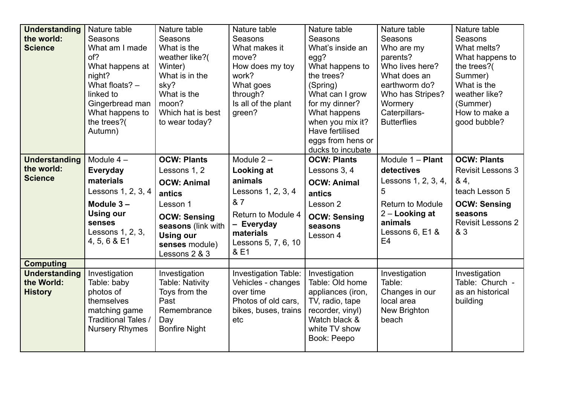| <b>Understanding</b> | Nature table          | Nature table         | Nature table         | Nature table        | Nature table            | Nature table             |
|----------------------|-----------------------|----------------------|----------------------|---------------------|-------------------------|--------------------------|
| the world:           | Seasons               | Seasons              | Seasons              | Seasons             | Seasons                 | Seasons                  |
| <b>Science</b>       | What am I made        | What is the          | What makes it        | What's inside an    | Who are my              | What melts?              |
|                      | of?                   | weather like?(       | move?                | egg?                | parents?                | What happens to          |
|                      | What happens at       | Winter)              | How does my toy      | What happens to     | Who lives here?         | the trees?               |
|                      | night?                | What is in the       | work?                | the trees?          | What does an            | Summer)                  |
|                      | What floats? -        | sky?                 | What goes            | (Spring)            | earthworm do?           | What is the              |
|                      | linked to             | What is the          | through?             | What can I grow     | Who has Stripes?        | weather like?            |
|                      | Gingerbread man       | moon?                | Is all of the plant  | for my dinner?      | Wormery                 | (Summer)                 |
|                      | What happens to       | Which hat is best    | green?               | What happens        | Caterpillars-           | How to make a            |
|                      | the trees?            | to wear today?       |                      | when you mix it?    | <b>Butterflies</b>      | good bubble?             |
|                      | Autumn)               |                      |                      | Have fertilised     |                         |                          |
|                      |                       |                      |                      | eggs from hens or   |                         |                          |
|                      |                       |                      |                      | ducks to incubate   |                         |                          |
| <b>Understanding</b> | Module $4-$           | <b>OCW: Plants</b>   | Module $2 -$         | <b>OCW: Plants</b>  | Module 1 - Plant        | <b>OCW: Plants</b>       |
| the world:           | <b>Everyday</b>       | Lessons 1, 2         | Looking at           | Lessons 3, 4        | detectives              | <b>Revisit Lessons 3</b> |
| <b>Science</b>       | materials             | <b>OCW: Animal</b>   | animals              | <b>OCW: Animal</b>  | Lessons 1, 2, 3, 4,     | 84,                      |
|                      | Lessons 1, 2, 3, 4    | antics               | Lessons 1, 2, 3, 4   | antics              | 5                       | teach Lesson 5           |
|                      | Module $3 -$          | Lesson 1             | & 7                  | Lesson 2            | <b>Return to Module</b> | <b>OCW: Sensing</b>      |
|                      | <b>Using our</b>      | <b>OCW: Sensing</b>  | Return to Module 4   | <b>OCW: Sensing</b> | 2 – Looking at          | seasons                  |
|                      | senses                | seasons (link with   | - Everyday           | seasons             | animals                 | <b>Revisit Lessons 2</b> |
|                      | Lessons 1, 2, 3,      | <b>Using our</b>     | materials            | Lesson 4            | Lessons 6, E1 &         | & 3                      |
|                      | 4, 5, 6 & E1          | senses module)       | Lessons 5, 7, 6, 10  |                     | E <sub>4</sub>          |                          |
|                      |                       | Lessons 2 & 3        | & E1                 |                     |                         |                          |
| <b>Computing</b>     |                       |                      |                      |                     |                         |                          |
| <b>Understanding</b> | Investigation         | Investigation        | Investigation Table: | Investigation       | Investigation           | Investigation            |
| the World:           | Table: baby           | Table: Nativity      | Vehicles - changes   | Table: Old home     | Table:                  | Table: Church -          |
| <b>History</b>       | photos of             | Toys from the        | over time            | appliances (iron,   | Changes in our          | as an historical         |
|                      | themselves            | Past                 | Photos of old cars,  | TV, radio, tape     | local area              | building                 |
|                      | matching game         | Remembrance          | bikes, buses, trains | recorder, vinyl)    | New Brighton            |                          |
|                      | Traditional Tales /   | Day                  | etc                  | Watch black &       | beach                   |                          |
|                      | <b>Nursery Rhymes</b> | <b>Bonfire Night</b> |                      | white TV show       |                         |                          |
|                      |                       |                      |                      | Book: Peepo         |                         |                          |
|                      |                       |                      |                      |                     |                         |                          |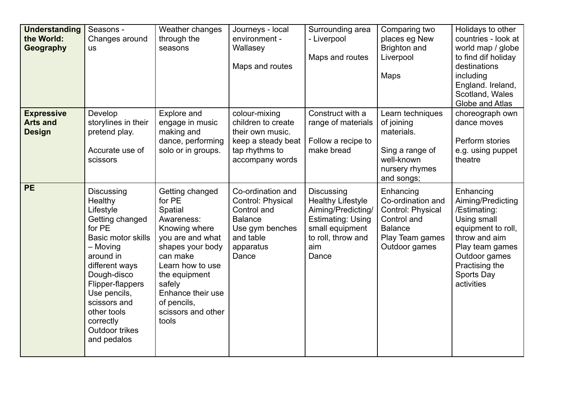| <b>Understanding</b><br>the World:<br>Geography       | Seasons -<br>Changes around<br><b>us</b>                                                                                                                                                                                                                                       | Weather changes<br>through the<br>seasons                                                                                                                                                                                                 | Journeys - local<br>environment -<br>Wallasey<br>Maps and routes                                                              | Surrounding area<br>- Liverpool<br>Maps and routes                                                                                                | Comparing two<br>places eg New<br>Brighton and<br>Liverpool<br>Maps                                                      | Holidays to other<br>countries - look at<br>world map / globe<br>to find dif holiday<br>destinations<br>including<br>England. Ireland,<br>Scotland, Wales<br>Globe and Atlas           |
|-------------------------------------------------------|--------------------------------------------------------------------------------------------------------------------------------------------------------------------------------------------------------------------------------------------------------------------------------|-------------------------------------------------------------------------------------------------------------------------------------------------------------------------------------------------------------------------------------------|-------------------------------------------------------------------------------------------------------------------------------|---------------------------------------------------------------------------------------------------------------------------------------------------|--------------------------------------------------------------------------------------------------------------------------|----------------------------------------------------------------------------------------------------------------------------------------------------------------------------------------|
| <b>Expressive</b><br><b>Arts and</b><br><b>Design</b> | Develop<br>storylines in their<br>pretend play.<br>Accurate use of<br>scissors                                                                                                                                                                                                 | Explore and<br>engage in music<br>making and<br>dance, performing<br>solo or in groups.                                                                                                                                                   | colour-mixing<br>children to create<br>their own music.<br>keep a steady beat<br>tap rhythms to<br>accompany words            | Construct with a<br>range of materials<br>Follow a recipe to<br>make bread                                                                        | Learn techniques<br>of joining<br>materials.<br>Sing a range of<br>well-known<br>nursery rhymes<br>and songs;            | choreograph own<br>dance moves<br>Perform stories<br>e.g. using puppet<br>theatre                                                                                                      |
| <b>PE</b>                                             | Discussing<br>Healthy<br>Lifestyle<br>Getting changed<br>for PE<br><b>Basic motor skills</b><br>- Moving<br>around in<br>different ways<br>Dough-disco<br>Flipper-flappers<br>Use pencils,<br>scissors and<br>other tools<br>correctly<br><b>Outdoor trikes</b><br>and pedalos | Getting changed<br>for PE<br>Spatial<br>Awareness:<br>Knowing where<br>you are and what<br>shapes your body<br>can make<br>Learn how to use<br>the equipment<br>safely<br>Enhance their use<br>of pencils,<br>scissors and other<br>tools | Co-ordination and<br>Control: Physical<br>Control and<br><b>Balance</b><br>Use gym benches<br>and table<br>apparatus<br>Dance | Discussing<br><b>Healthy Lifestyle</b><br>Aiming/Predicting/<br><b>Estimating: Using</b><br>small equipment<br>to roll, throw and<br>aim<br>Dance | Enhancing<br>Co-ordination and<br>Control: Physical<br>Control and<br><b>Balance</b><br>Play Team games<br>Outdoor games | Enhancing<br>Aiming/Predicting<br>/Estimating:<br>Using small<br>equipment to roll,<br>throw and aim<br>Play team games<br>Outdoor games<br>Practising the<br>Sports Day<br>activities |